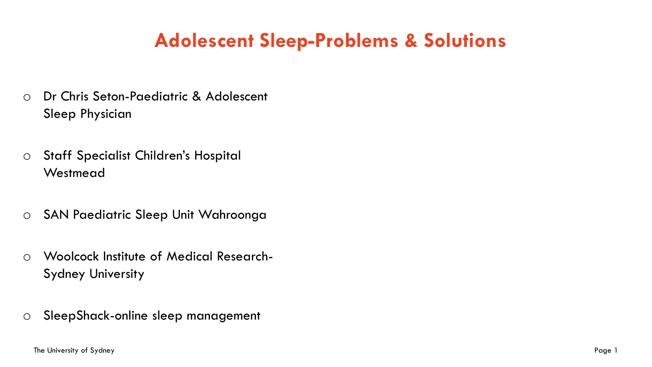# **Adolescent Sleep-Problems & Solutions**

- o Dr Chris Seton-Paediatric & Adolescent Sleep Physician
- o Staff Specialist Children's Hospital **Westmead**
- o SAN Paediatric Sleep Unit Wahroonga
- o Woolcock Institute of Medical Research-Sydney University
- o SleepShack-online sleep management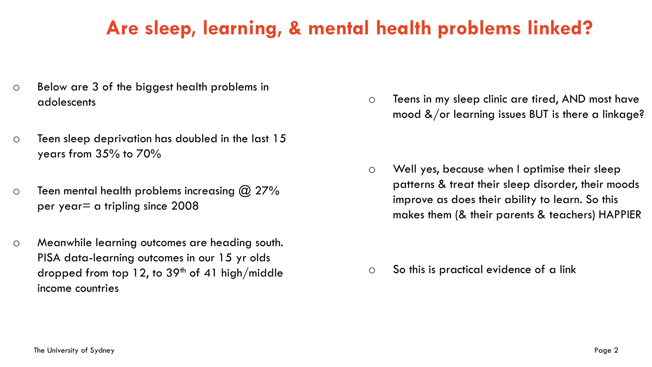# **Are sleep, learning, & mental health problems linked?**

- o Below are 3 of the biggest health problems in adolescents
- $\circ$  Teen sleep deprivation has doubled in the last 15 years from 35% to 70%
- $\circ$  Teen mental health problems increasing  $\omega$  27% per year= a tripling since 2008
- o Meanwhile learning outcomes are heading south. PISA data-learning outcomes in our 15 yr olds dropped from top 12, to  $39<sup>th</sup>$  of 41 high/middle income countries

o Teens in my sleep clinic are tired, AND most have mood  $\&$ /or learning issues BUT is there a linkage?

o Well yes, because when I optimise their sleep patterns & treat their sleep disorder, their moods improve as does their ability to learn. So this makes them (& their parents & teachers) HAPPIER

o So this is practical evidence of a link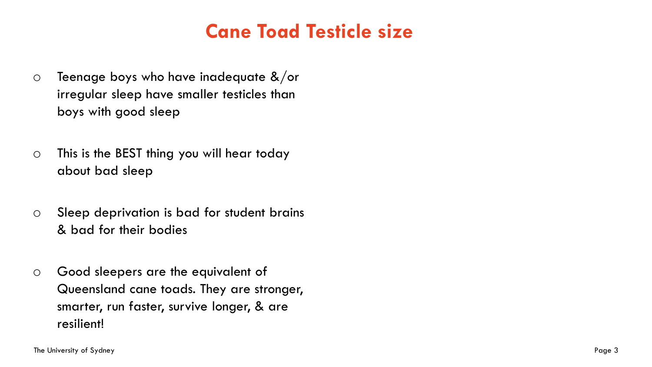# **Cane Toad Testicle size**

- $\circ$  Teenage boys who have inadequate &/or irregular sleep have smaller testicles than boys with good sleep
- o This is the BEST thing you will hear today about bad sleep
- o Sleep deprivation is bad for student brains & bad for their bodies
- o Good sleepers are the equivalent of Queensland cane toads. They are stronger, smarter, run faster, survive longer, & are resilient!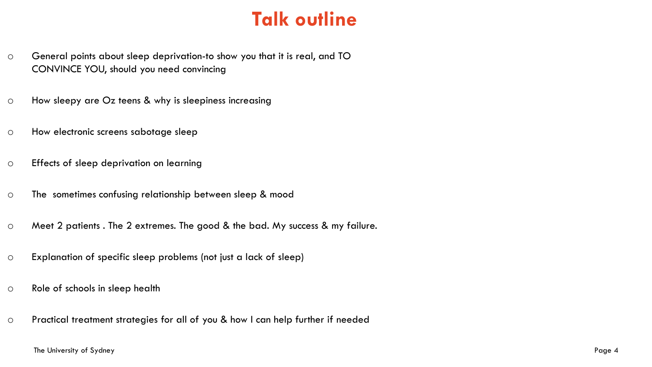# **Talk outline**

- o General points about sleep deprivation-to show you that it is real, and TO CONVINCE YOU, should you need convincing
- o How sleepy are Oz teens & why is sleepiness increasing
- o How electronic screens sabotage sleep
- o Effects of sleep deprivation on learning
- o The sometimes confusing relationship between sleep & mood
- o Meet 2 patients . The 2 extremes. The good & the bad. My success & my failure.
- o Explanation of specific sleep problems (not just a lack of sleep)
- o Role of schools in sleep health
- o Practical treatment strategies for all of you & how I can help further if needed

### The University of Sydney Page 4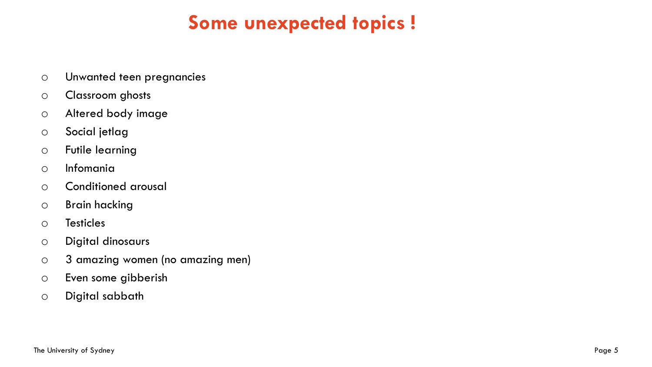# **Some unexpected topics !**

- o Unwanted teen pregnancies
- o Classroom ghosts
- o Altered body image
- o Social jetlag
- o Futile learning
- o Infomania
- o Conditioned arousal
- o Brain hacking
- o Testicles
- o Digital dinosaurs
- o 3 amazing women (no amazing men)
- o Even some gibberish
- o Digital sabbath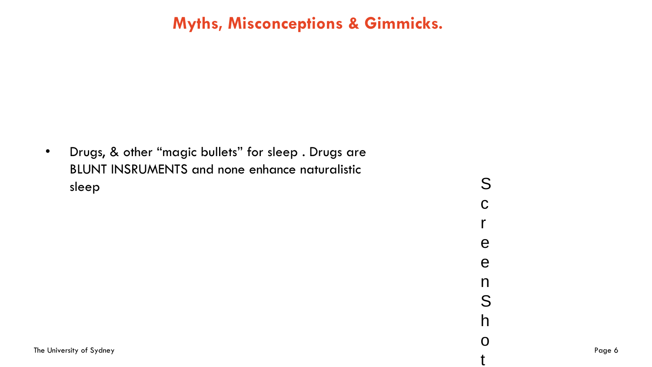### **Myths, Misconceptions & Gimmicks.**

• Drugs, & other "magic bullets" for sleep . Drugs are BLUNT INSRUMENTS and none enhance naturalistic sleep Soles in the Second Contract of the Second Contract of the Second Contract of the Second Contract of the

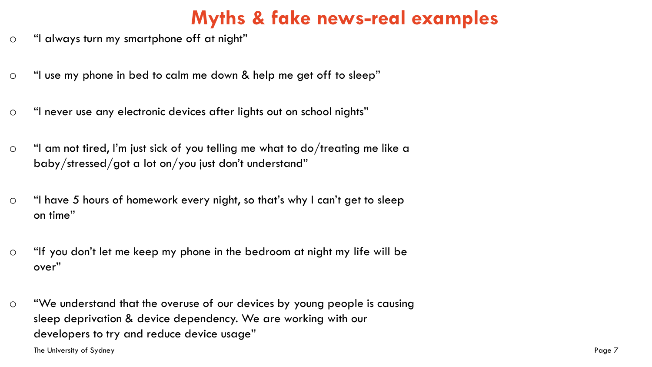# **Myths & fake news-real examples**

- o "I always turn my smartphone off at night"
- o "I use my phone in bed to calm me down & help me get off to sleep"
- o "I never use any electronic devices after lights out on school nights"
- o "I am not tired, I'm just sick of you telling me what to do/treating me like a baby/stressed/got a lot on/you just don't understand"
- o "I have 5 hours of homework every night, so that's why I can't get to sleep on time"
- o "If you don't let me keep my phone in the bedroom at night my life will be over"
- o "We understand that the overuse of our devices by young people is causing sleep deprivation & device dependency. We are working with our developers to try and reduce device usage"

The University of Sydney Page 7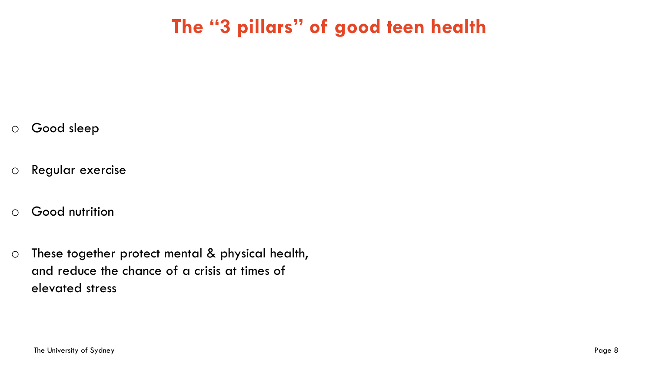# **The "3 pillars" of good teen health**

- o Good sleep
- o Regular exercise
- o Good nutrition
- o These together protect mental & physical health, and reduce the chance of a crisis at times of elevated stress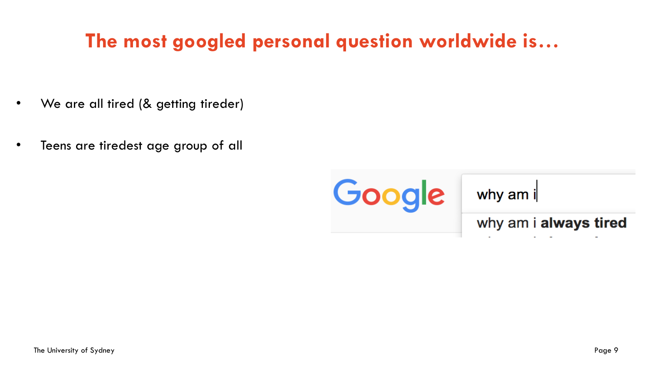# **The most googled personal question worldwide is…**

- We are all tired (& getting tireder)
- Teens are tiredest age group of all

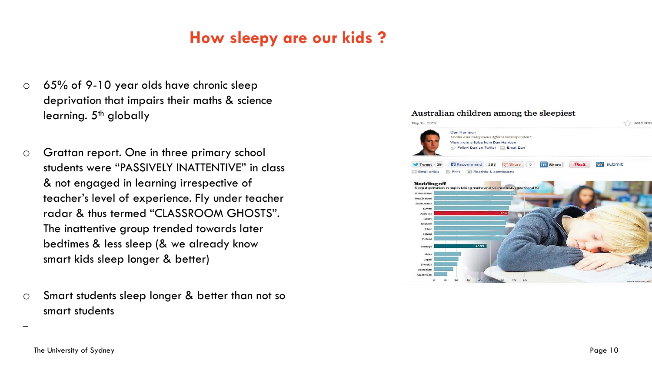### **How sleepy are our kids ?**

- o 65% of 9-10 year olds have chronic sleep deprivation that impairs their maths & science learning.  $5<sup>th</sup>$  globally
- o Grattan report. One in three primary school students were "PASSIVELY INATTENTIVE" in class & not engaged in learning irrespective of teacher's level of experience. Fly under teacher radar & thus termed "CLASSROOM GHOSTS". The inattentive group trended towards later bedtimes & less sleep (& we already know smart kids sleep longer & better)
- o Smart students sleep longer & better than not so smart students

### Australian children among the sleepiest



–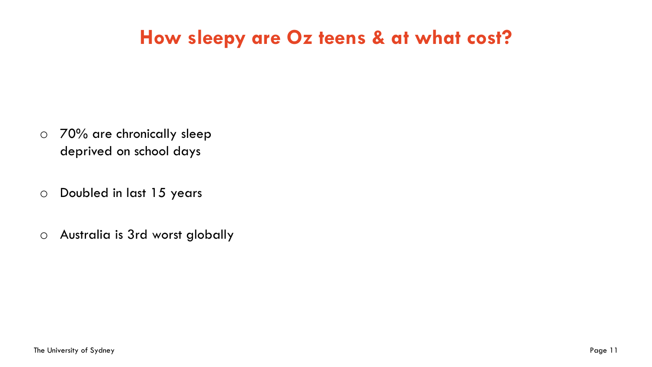# **How sleepy are Oz teens & at what cost?**

- o 70% are chronically sleep deprived on school days
- o Doubled in last 15 years
- o Australia is 3rd worst globally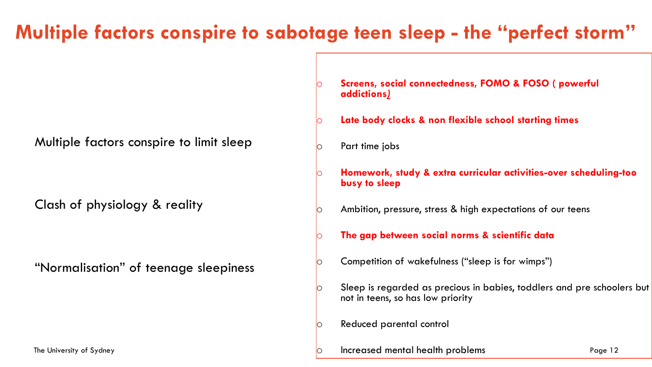# **Multiple factors conspire to sabotage teen sleep - the "perfect storm"**

Multiple factors conspire to limit sleep

Clash of physiology & reality

"Normalisation" of teenage sleepiness

- Screens, social connectedness, FOMO & FOSO ( powerful **addictions***)*
- Late body clocks & non flexible school starting times
- o Part time jobs
	- o **Homework, study & extra curricular activities-over scheduling-too busy to sleep**
- $\circ$  Ambition, pressure, stress & high expectations of our teens
	- The gap between social norms & scientific data
- $\circ$  Competition of wakefulness ("sleep is for wimps")
- Sleep is regarded as precious in babies, toddlers and pre schoolers but not in teens, so has low priority
- o Reduced parental control
- The University of Sydney Page 12 o Increased mental health problems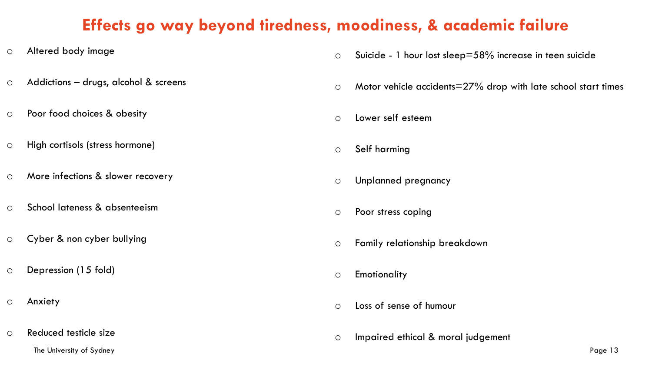### **Effects go way beyond tiredness, moodiness, & academic failure**

- o Altered body image
- o Addictions drugs, alcohol & screens
- o Poor food choices & obesity
- o High cortisols (stress hormone)
- o More infections & slower recovery
- o School lateness & absenteeism
- o Cyber & non cyber bullying
- o Depression (15 fold)
- o Anxiety
- The University of Sydney Page 13 o Reduced testicle size
- o Suicide 1 hour lost sleep=58% increase in teen suicide
- o Motor vehicle accidents=27% drop with late school start times
- o Lower self esteem
- o Self harming
- o Unplanned pregnancy
- o Poor stress coping
- o Family relationship breakdown
- o Emotionality
- o Loss of sense of humour
- o Impaired ethical & moral judgement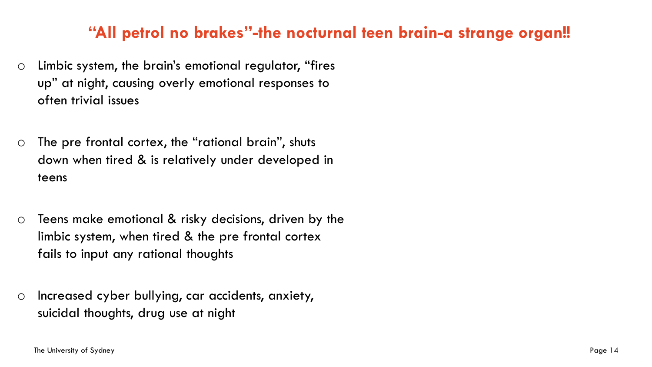### **"All petrol no brakes"-the nocturnal teen brain-a strange organ!!**

- o Limbic system, the brain's emotional regulator, "fires up" at night, causing overly emotional responses to often trivial issues
- o The pre frontal cortex, the "rational brain", shuts down when tired & is relatively under developed in teens
- o Teens make emotional & risky decisions, driven by the limbic system, when tired & the pre frontal cortex fails to input any rational thoughts
- o Increased cyber bullying, car accidents, anxiety, suicidal thoughts, drug use at night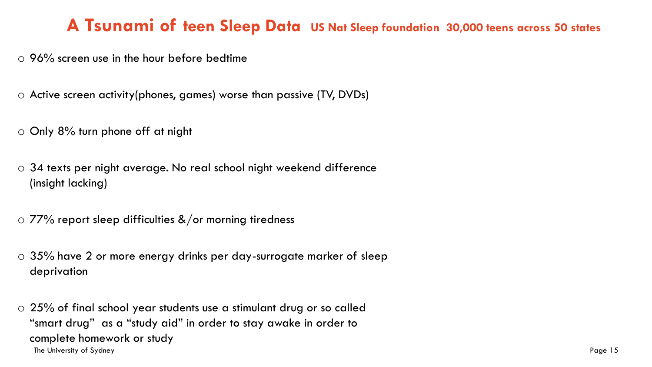### **A Tsunami of teen Sleep Data US Nat Sleep foundation 30,000 teens across 50 states**

- $\circ$  96% screen use in the hour before bedtime
- o Active screen activity(phones, games) worse than passive (TV, DVDs)
- o Only 8% turn phone off at night
- o 34 texts per night average. No real school night weekend difference (insight lacking)
- $\circ$  77% report sleep difficulties &/or morning tiredness
- o 35% have 2 or more energy drinks per day-surrogate marker of sleep deprivation
- The University of Sydney Page 15 o 25% of final school year students use a stimulant drug or so called "smart drug" as a "study aid" in order to stay awake in order to complete homework or study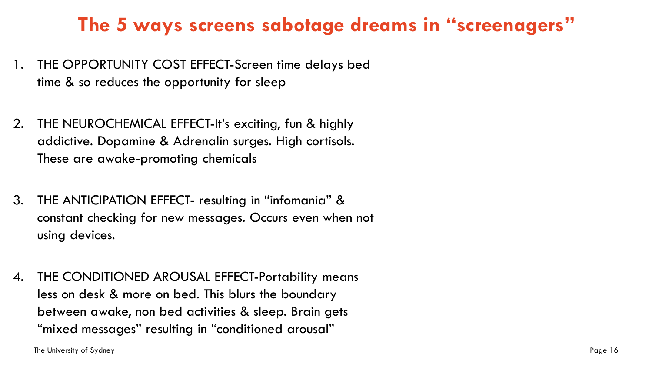# **The 5 ways screens sabotage dreams in "screenagers"**

- 1. THE OPPORTUNITY COST EFFECT-Screen time delays bed time & so reduces the opportunity for sleep
- 2. THE NEUROCHEMICAL EFFECT-It's exciting, fun & highly addictive. Dopamine & Adrenalin surges. High cortisols. These are awake-promoting chemicals
- 3. THE ANTICIPATION EFFECT- resulting in "infomania" & constant checking for new messages. Occurs even when not using devices.
- 4. THE CONDITIONED AROUSAL EFFECT-Portability means less on desk & more on bed. This blurs the boundary between awake, non bed activities & sleep. Brain gets "mixed messages" resulting in "conditioned arousal"

The University of Sydney Page 16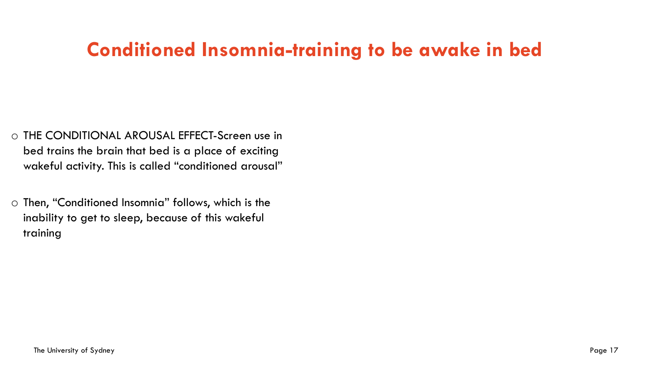# **Conditioned Insomnia-training to be awake in bed**

- o THE CONDITIONAL AROUSAL EFFECT-Screen use in bed trains the brain that bed is a place of exciting wakeful activity. This is called "conditioned arousal"
- o Then, "Conditioned Insomnia" follows, which is the inability to get to sleep, because of this wakeful training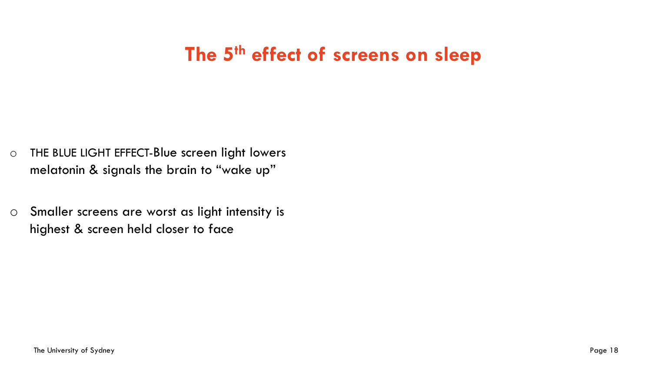# **The 5th effect of screens on sleep**

- o THE BLUE LIGHT EFFECT-Blue screen light lowers melatonin & signals the brain to "wake up"
- o Smaller screens are worst as light intensity is highest & screen held closer to face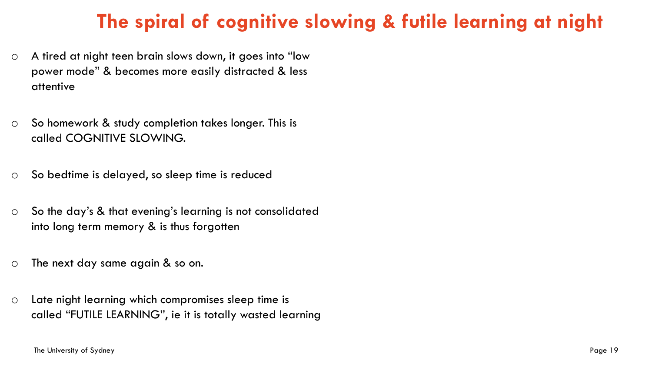# **The spiral of cognitive slowing & futile learning at night**

- o A tired at night teen brain slows down, it goes into "low power mode" & becomes more easily distracted & less attentive
- o So homework & study completion takes longer. This is called COGNITIVE SLOWING.
- o So bedtime is delayed, so sleep time is reduced
- o So the day's & that evening's learning is not consolidated into long term memory & is thus forgotten
- o The next day same again & so on.
- o Late night learning which compromises sleep time is called "FUTILE LEARNING", ie it is totally wasted learning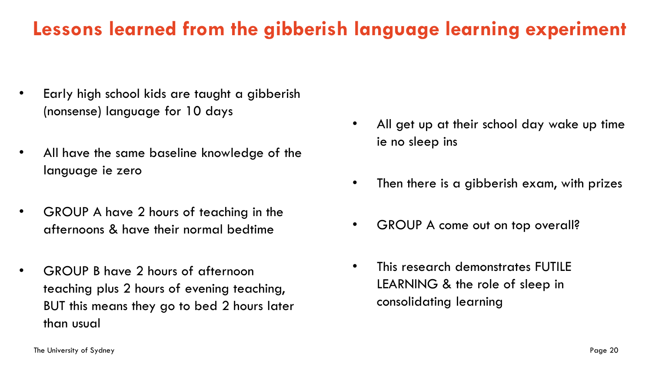# **Lessons learned from the gibberish language learning experiment**

- Early high school kids are taught a gibberish (nonsense) language for 10 days
- All have the same baseline knowledge of the language ie zero
- GROUP A have 2 hours of teaching in the afternoons & have their normal bedtime
- GROUP B have 2 hours of afternoon teaching plus 2 hours of evening teaching, BUT this means they go to bed 2 hours later than usual
- All get up at their school day wake up time ie no sleep ins
- Then there is a gibberish exam, with prizes
- GROUP A come out on top overall?
- This research demonstrates FUTILE LEARNING & the role of sleep in consolidating learning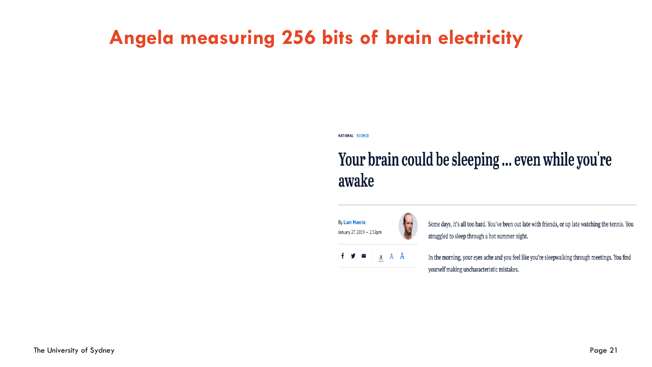# **Angela measuring 256 bits of brain electricity**

NATIONAL SCIENCE

# Your brain could be sleeping ... even while you're awake

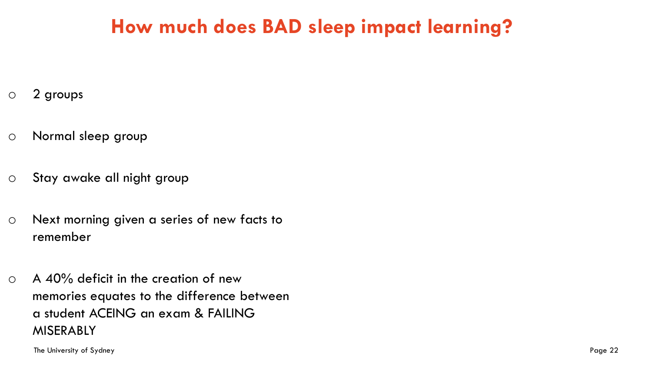# **How much does BAD sleep impact learning?**

- o 2 groups
- o Normal sleep group
- o Stay awake all night group
- o Next morning given a series of new facts to remember
- $\circ$  A 40% deficit in the creation of new memories equates to the difference between a student ACEING an exam & FAILING MISERABLY

The University of Sydney Page 22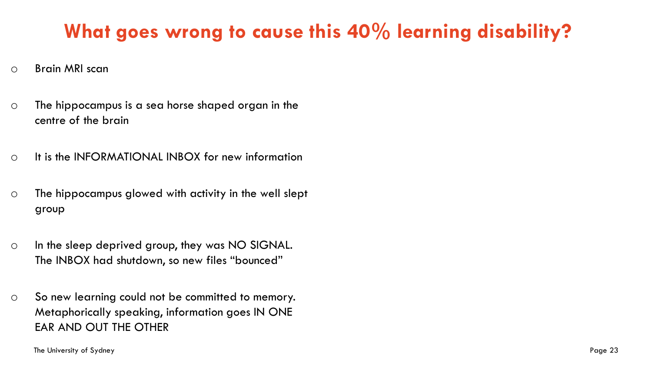# **What goes wrong to cause this 40% learning disability?**

- o Brain MRI scan
- o The hippocampus is a sea horse shaped organ in the centre of the brain
- o It is the INFORMATIONAL INBOX for new information
- o The hippocampus glowed with activity in the well slept group
- o In the sleep deprived group, they was NO SIGNAL. The INBOX had shutdown, so new files "bounced"
- o So new learning could not be committed to memory. Metaphorically speaking, information goes IN ONE EAR AND OUT THE OTHER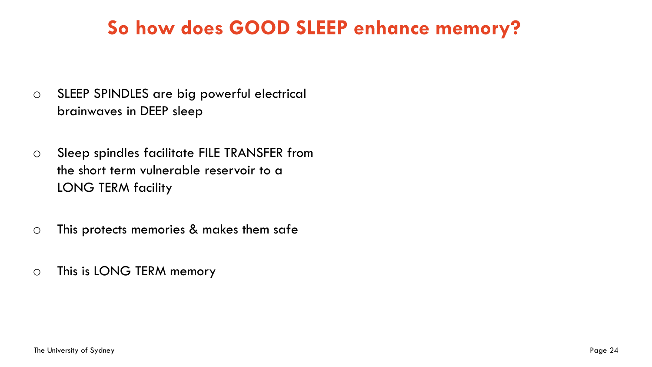# **So how does GOOD SLEEP enhance memory?**

- o SLEEP SPINDLES are big powerful electrical brainwaves in DEEP sleep
- o Sleep spindles facilitate FILE TRANSFER from the short term vulnerable reservoir to a LONG TERM facility
- o This protects memories & makes them safe
- o This is LONG TERM memory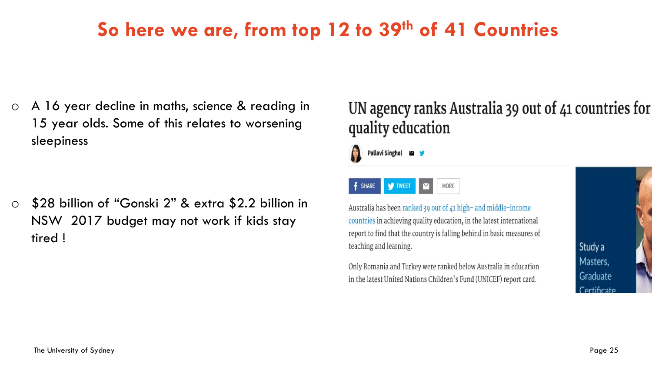# **So here we are, from top 12 to 39th of 41 Countries**

o A 16 year decline in maths, science & reading in 15 year olds. Some of this relates to worsening sleepiness

o \$28 billion of "Gonski 2" & extra \$2.2 billion in NSW 2017 budget may not work if kids stay tired !

### UN agency ranks Australia 39 out of 41 countries for quality education





Australia has been ranked 39 out of 41 high- and middle-income countries in achieving quality education, in the latest international report to find that the country is falling behind in basic measures of teaching and learning.

Only Romania and Turkey were ranked below Australia in education in the latest United Nations Children's Fund (UNICEF) report card.

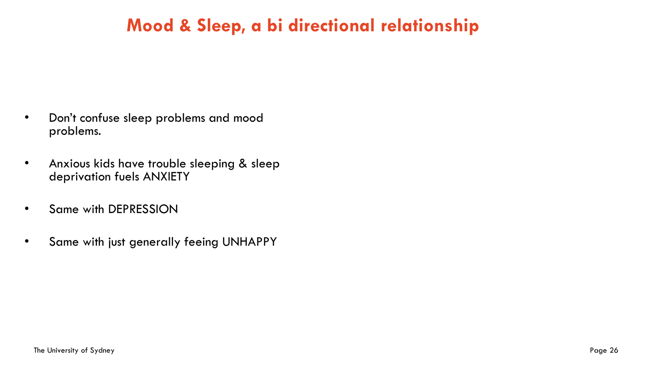# **Mood & Sleep, a bi directional relationship**

- Don't confuse sleep problems and mood problems.
- Anxious kids have trouble sleeping & sleep deprivation fuels ANXIETY
- Same with DEPRESSION
- Same with just generally feeing UNHAPPY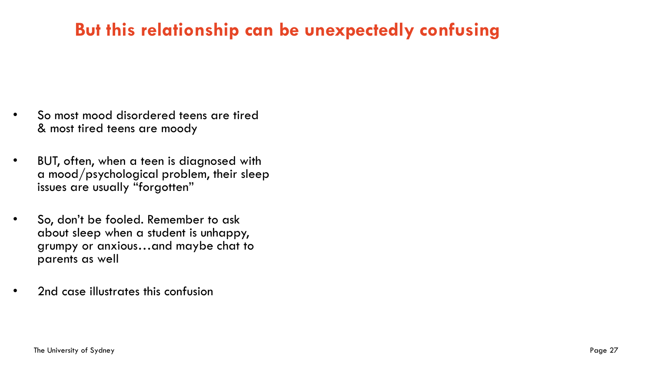# **But this relationship can be unexpectedly confusing**

- So most mood disordered teens are tired & most tired teens are moody
- BUT, often, when a teen is diagnosed with a mood/psychological problem, their sleep issues are usually "forgotten"
- So, don't be fooled. Remember to ask about sleep when a student is unhappy, grumpy or anxious…and maybe chat to parents as well
- 2nd case illustrates this confusion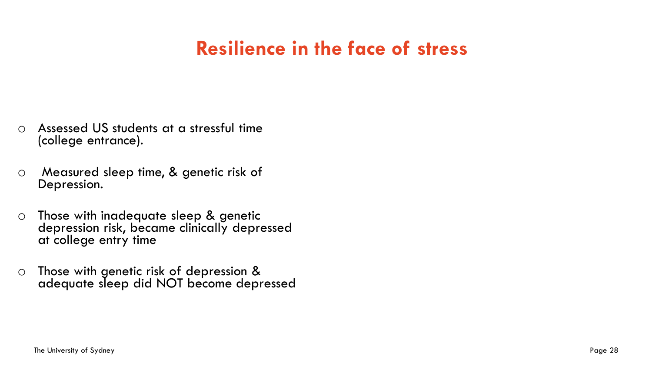# **Resilience in the face of stress**

- o Assessed US students at a stressful time (college entrance).
- o Measured sleep time, & genetic risk of Depression.
- o Those with inadequate sleep & genetic depression risk, became clinically depressed at college entry time
- o Those with genetic risk of depression & adequate sleep did NOT become depressed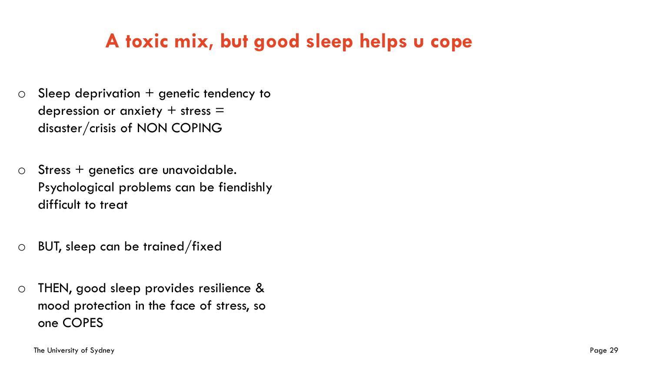# **A toxic mix, but good sleep helps u cope**

- $\circ$  Sleep deprivation  $+$  genetic tendency to depression or anxiety  $+$  stress  $=$ disaster/crisis of NON COPING
- $\circ$  Stress + genetics are unavoidable. Psychological problems can be fiendishly difficult to treat
- o BUT, sleep can be trained/fixed
- o THEN, good sleep provides resilience & mood protection in the face of stress, so one COPES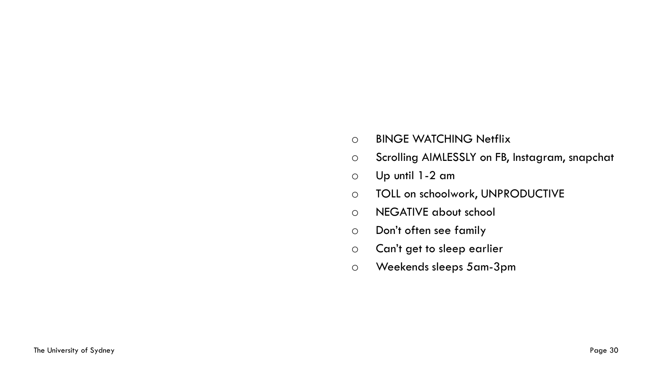- o BINGE WATCHING Netflix
- o Scrolling AIMLESSLY on FB, Instagram, snapchat
- o Up until 1-2 am
- o TOLL on schoolwork, UNPRODUCTIVE
- o NEGATIVE about school
- o Don't often see family
- o Can't get to sleep earlier
- o Weekends sleeps 5am-3pm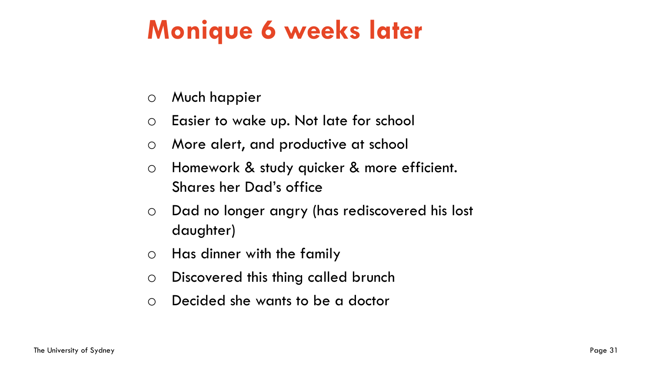# **Monique 6 weeks later**

- o Much happier
- o Easier to wake up. Not late for school
- o More alert, and productive at school
- o Homework & study quicker & more efficient. Shares her Dad's office
- o Dad no longer angry (has rediscovered his lost daughter)
- o Has dinner with the family
- o Discovered this thing called brunch
- o Decided she wants to be a doctor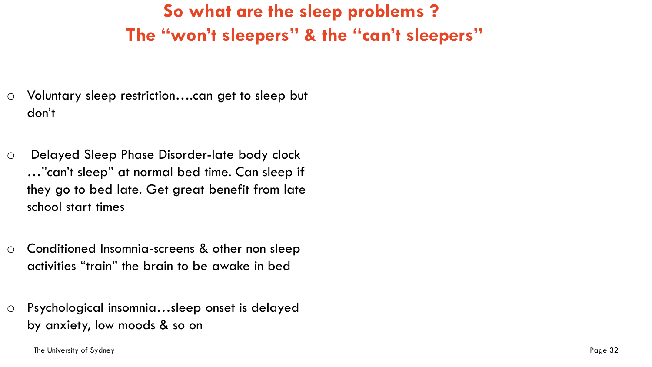# **So what are the sleep problems ? The "won't sleepers" & the "can't sleepers"**

- o Voluntary sleep restriction….can get to sleep but don't
- o Delayed Sleep Phase Disorder-late body clock …"can't sleep" at normal bed time. Can sleep if they go to bed late. Get great benefit from late school start times
- o Conditioned Insomnia-screens & other non sleep activities "train" the brain to be awake in bed
- o Psychological insomnia…sleep onset is delayed by anxiety, low moods & so on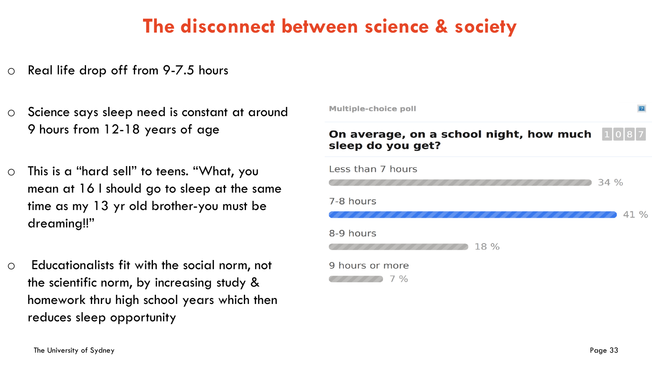# **The disconnect between science & society**

- o Real life drop off from 9-7.5 hours
- o Science says sleep need is constant at around 9 hours from 12-18 years of age
- o This is a "hard sell" to teens. "What, you mean at 16 I should go to sleep at the same time as my 13 yr old brother-you must be dreaming!!"
- o Educationalists fit with the social norm, not the scientific norm, by increasing study & homework thru high school years which then reduces sleep opportunity

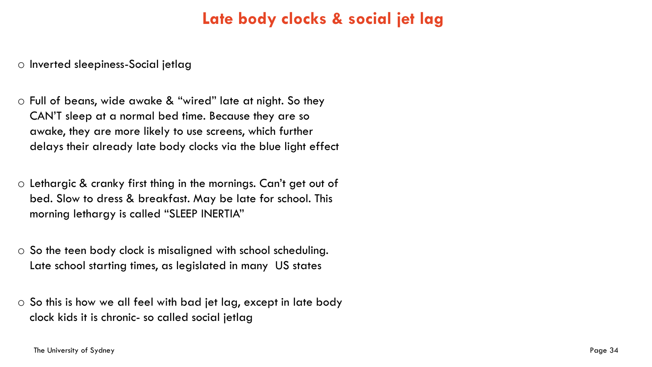### **Late body clocks & social jet lag**

o Inverted sleepiness-Social jetlag

- o Full of beans, wide awake & "wired" late at night. So they CAN'T sleep at a normal bed time. Because they are so awake, they are more likely to use screens, which further delays their already late body clocks via the blue light effect
- o Lethargic & cranky first thing in the mornings. Can't get out of bed. Slow to dress & breakfast. May be late for school. This morning lethargy is called "SLEEP INERTIA"
- o So the teen body clock is misaligned with school scheduling. Late school starting times, as legislated in many US states
- o So this is how we all feel with bad jet lag, except in late body clock kids it is chronic- so called social jetlag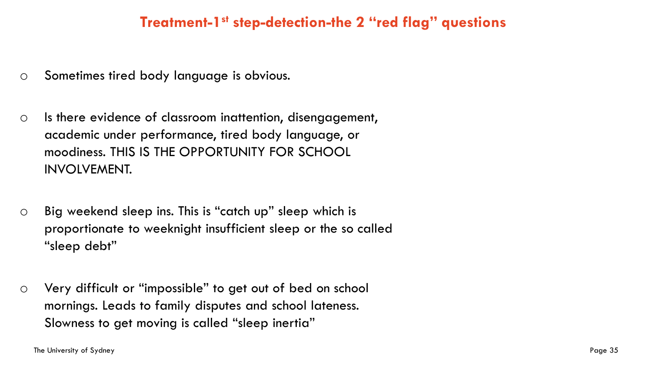### **Treatment-1 st step-detection-the 2 "red flag" questions**

- o Sometimes tired body language is obvious.
- o Is there evidence of classroom inattention, disengagement, academic under performance, tired body language, or moodiness. THIS IS THE OPPORTUNITY FOR SCHOOL INVOLVEMENT.
- o Big weekend sleep ins. This is "catch up" sleep which is proportionate to weeknight insufficient sleep or the so called "sleep debt"
- o Very difficult or "impossible" to get out of bed on school mornings. Leads to family disputes and school lateness. Slowness to get moving is called "sleep inertia"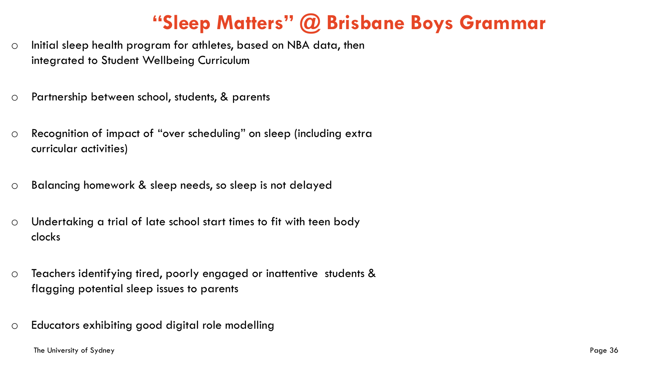# **"Sleep Matters" @ Brisbane Boys Grammar**

- o Initial sleep health program for athletes, based on NBA data, then integrated to Student Wellbeing Curriculum
- o Partnership between school, students, & parents
- o Recognition of impact of "over scheduling" on sleep (including extra curricular activities)
- o Balancing homework & sleep needs, so sleep is not delayed
- o Undertaking a trial of late school start times to fit with teen body clocks
- o Teachers identifying tired, poorly engaged or inattentive students & flagging potential sleep issues to parents
- o Educators exhibiting good digital role modelling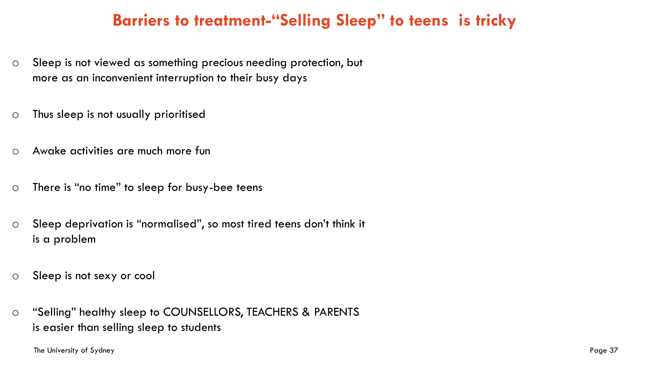### **Barriers to treatment-"Selling Sleep" to teens is tricky**

- o Sleep is not viewed as something precious needing protection, but more as an inconvenient interruption to their busy days
- o Thus sleep is not usually prioritised
- o Awake activities are much more fun
- o There is "no time" to sleep for busy-bee teens
- o Sleep deprivation is "normalised", so most tired teens don't think it is a problem
- o Sleep is not sexy or cool
- o "Selling" healthy sleep to COUNSELLORS, TEACHERS & PARENTS is easier than selling sleep to students

The University of Sydney Page 37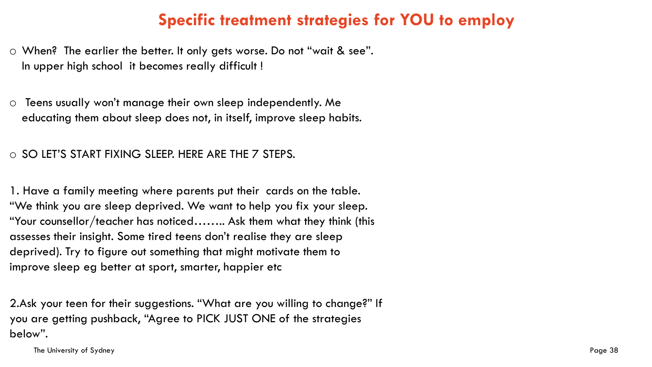### **Specific treatment strategies for YOU to employ**

o When? The earlier the better. It only gets worse. Do not "wait & see". In upper high school it becomes really difficult !

o Teens usually won't manage their own sleep independently. Me educating them about sleep does not, in itself, improve sleep habits.

o SO LET'S START FIXING SLEEP. HERE ARE THE 7 STEPS.

1. Have a family meeting where parents put their cards on the table. "We think you are sleep deprived. We want to help you fix your sleep. "Your counsellor/teacher has noticed…….. Ask them what they think (this assesses their insight. Some tired teens don't realise they are sleep deprived). Try to figure out something that might motivate them to improve sleep eg better at sport, smarter, happier etc

2.Ask your teen for their suggestions. "What are you willing to change?" If you are getting pushback, "Agree to PICK JUST ONE of the strategies below".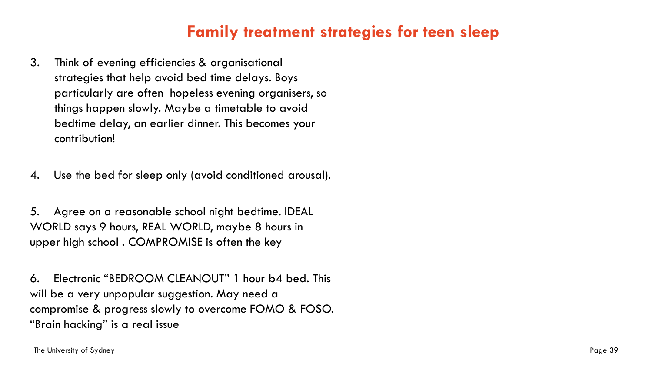### **Family treatment strategies for teen sleep**

3. Think of evening efficiencies & organisational strategies that help avoid bed time delays. Boys particularly are often hopeless evening organisers, so things happen slowly. Maybe a timetable to avoid bedtime delay, an earlier dinner. This becomes your contribution!

4. Use the bed for sleep only (avoid conditioned arousal).

5. Agree on a reasonable school night bedtime. IDEAL WORLD says 9 hours, REAL WORLD, maybe 8 hours in upper high school . COMPROMISE is often the key

6. Electronic "BEDROOM CLEANOUT" 1 hour b4 bed. This will be a very unpopular suggestion. May need a compromise & progress slowly to overcome FOMO & FOSO. "Brain hacking" is a real issue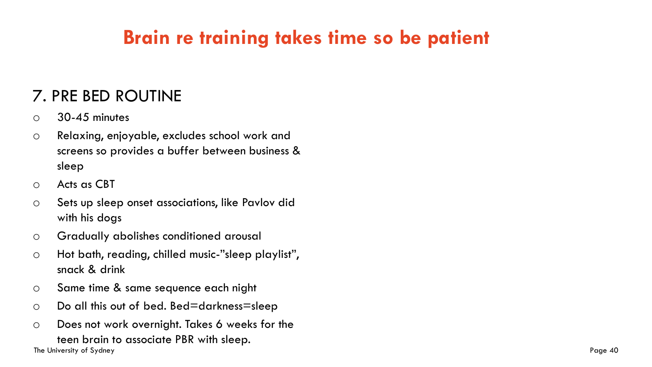# **Brain re training takes time so be patient**

### 7. PRE BED ROUTINE

- $\circ$  30-45 minutes
- o Relaxing, enjoyable, excludes school work and screens so provides a buffer between business & sleep
- o Acts as CBT
- o Sets up sleep onset associations, like Pavlov did with his dogs
- o Gradually abolishes conditioned arousal
- o Hot bath, reading, chilled music-"sleep playlist", snack & drink
- o Same time & same sequence each night
- o Do all this out of bed. Bed=darkness=sleep
- The University of Sydney Page 40 o Does not work overnight. Takes 6 weeks for the teen brain to associate PBR with sleep.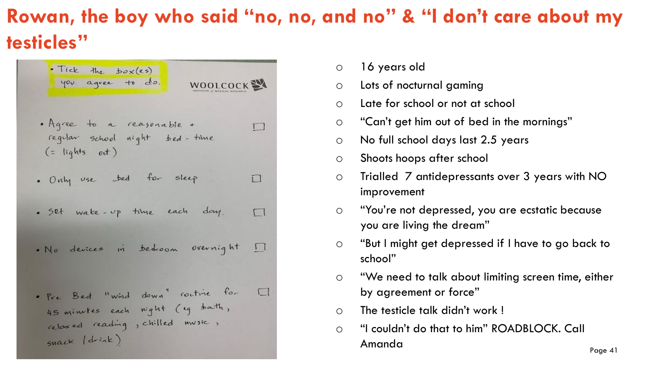# **Rowan, the boy who said "no, no, and no" & "I don't care about my testicles"**



- o 16 years old
- o Lots of nocturnal gaming
- o Late for school or not at school
- o "Can't get him out of bed in the mornings"
- o No full school days last 2.5 years
- o Shoots hoops after school
- o Trialled 7 antidepressants over 3 years with NO improvement
- o "You're not depressed, you are ecstatic because you are living the dream"
- o "But I might get depressed if I have to go back to school"
- o "We need to talk about limiting screen time, either by agreement or force"
- o The testicle talk didn't work !
- The University of Sydney Page 41 and the University of Sydney Page 41 and the University of Sydney Page 41 o "I couldn't do that to him" ROADBLOCK. Call Amanda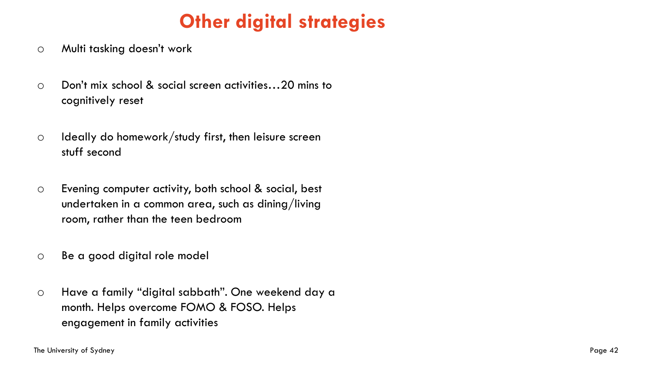# **Other digital strategies**

- o Multi tasking doesn't work
- o Don't mix school & social screen activities…20 mins to cognitively reset
- $\circ$  Ideally do homework/study first, then leisure screen stuff second
- o Evening computer activity, both school & social, best undertaken in a common area, such as dining/living room, rather than the teen bedroom
- o Be a good digital role model
- o Have a family "digital sabbath". One weekend day a month. Helps overcome FOMO & FOSO. Helps engagement in family activities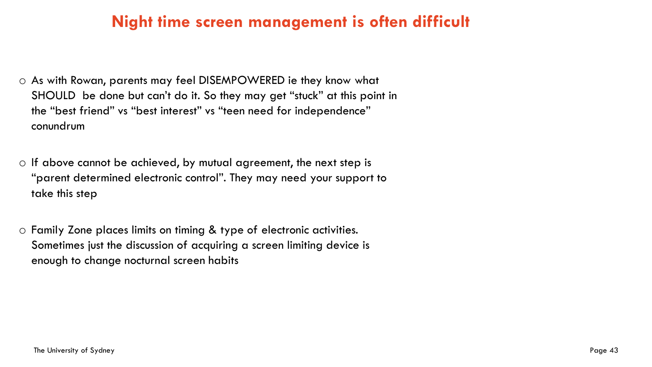### **Night time screen management is often difficult**

- o As with Rowan, parents may feel DISEMPOWERED ie they know what SHOULD be done but can't do it. So they may get "stuck" at this point in the "best friend" vs "best interest" vs "teen need for independence" conundrum
- $\circ$  If above cannot be achieved, by mutual agreement, the next step is "parent determined electronic control". They may need your support to take this step
- o Family Zone places limits on timing & type of electronic activities. Sometimes just the discussion of acquiring a screen limiting device is enough to change nocturnal screen habits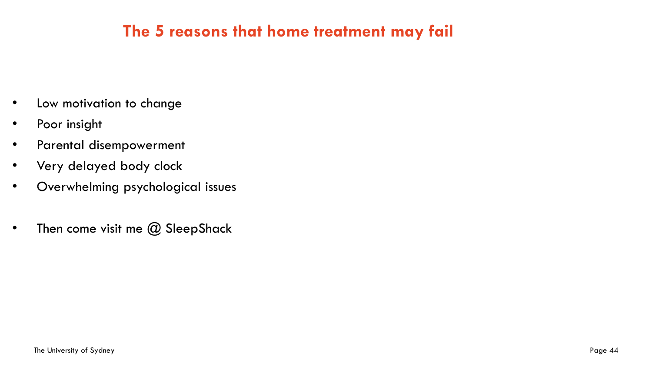### **The 5 reasons that home treatment may fail**

- Low motivation to change
- Poor insight
- Parental disempowerment
- Very delayed body clock
- Overwhelming psychological issues
- Then come visit me  $@$  SleepShack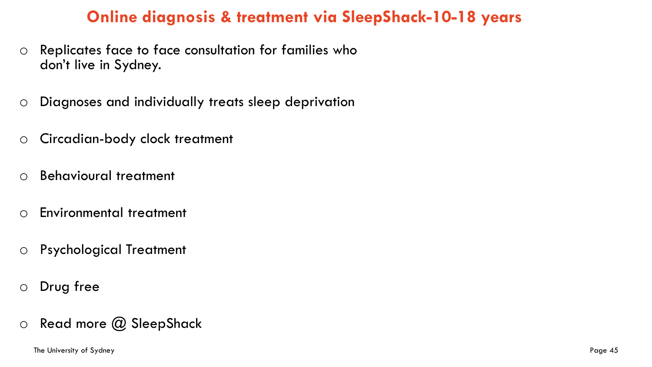### **Online diagnosis & treatment via SleepShack-10-18 years**

- o Replicates face to face consultation for families who don't live in Sydney.
- o Diagnoses and individually treats sleep deprivation
- o Circadian-body clock treatment
- o Behavioural treatment
- o Environmental treatment
- o Psychological Treatment
- o Drug free
- $\circ$  Read more  $\circled{a}$  SleepShack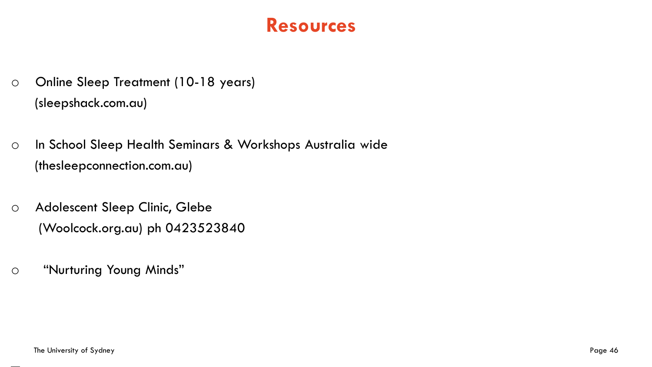## **Resources**

- o Online Sleep Treatment (10-18 years) (sleepshack.com.au)
- o In School Sleep Health Seminars & Workshops Australia wide (thesleepconnection.com.au)
- o Adolescent Sleep Clinic, Glebe (Woolcock.org.au) ph 0423523840
- o "Nurturing Young Minds"

 $\frac{1}{2}$